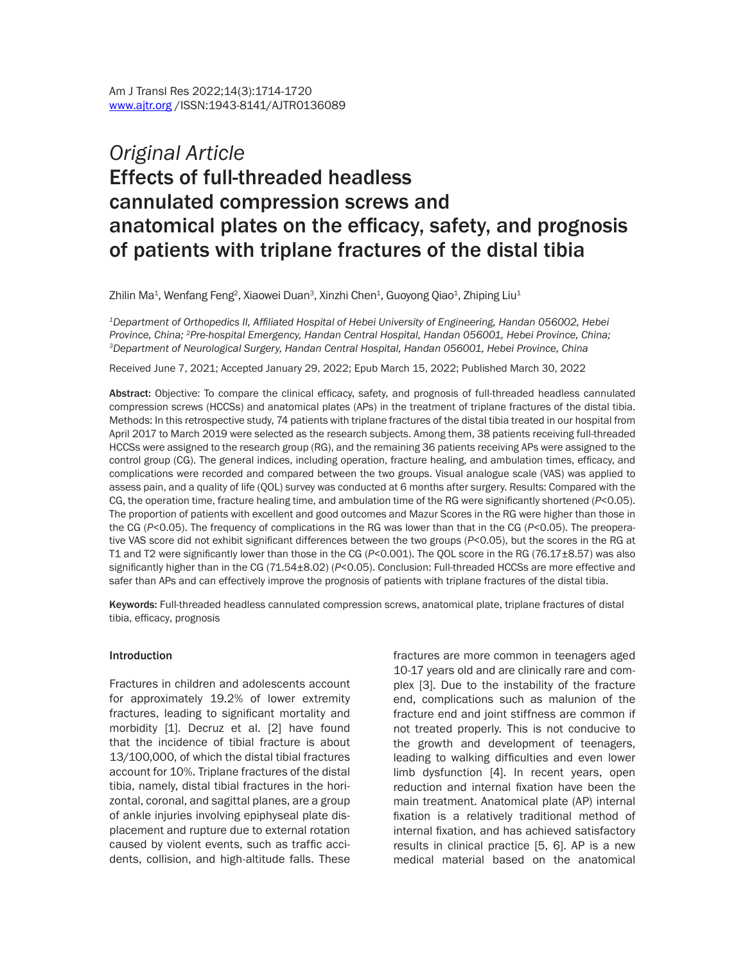# *Original Article* Effects of full-threaded headless cannulated compression screws and anatomical plates on the efficacy, safety, and prognosis of patients with triplane fractures of the distal tibia

Zhilin Ma $^{\rm 1}$ , Wenfang Feng $^{\rm 2}$ , Xiaowei Duan $^{\rm 3}$ , Xinzhi Chen $^{\rm 1}$ , Guoyong Qiao $^{\rm 1}$ , Zhiping Liu $^{\rm 1}$ 

*<sup>1</sup>Department of Orthopedics II, Affiliated Hospital of Hebei University of Engineering, Handan 056002, Hebei Province, China; 2Pre-hospital Emergency, Handan Central Hospital, Handan 056001, Hebei Province, China; <sup>3</sup>Department of Neurological Surgery, Handan Central Hospital, Handan 056001, Hebei Province, China*

Received June 7, 2021; Accepted January 29, 2022; Epub March 15, 2022; Published March 30, 2022

Abstract: Objective: To compare the clinical efficacy, safety, and prognosis of full-threaded headless cannulated compression screws (HCCSs) and anatomical plates (APs) in the treatment of triplane fractures of the distal tibia. Methods: In this retrospective study, 74 patients with triplane fractures of the distal tibia treated in our hospital from April 2017 to March 2019 were selected as the research subjects. Among them, 38 patients receiving full-threaded HCCSs were assigned to the research group (RG), and the remaining 36 patients receiving APs were assigned to the control group (CG). The general indices, including operation, fracture healing, and ambulation times, efficacy, and complications were recorded and compared between the two groups. Visual analogue scale (VAS) was applied to assess pain, and a quality of life (QOL) survey was conducted at 6 months after surgery. Results: Compared with the CG, the operation time, fracture healing time, and ambulation time of the RG were significantly shortened (*P*<0.05). The proportion of patients with excellent and good outcomes and Mazur Scores in the RG were higher than those in the CG (*P*<0.05). The frequency of complications in the RG was lower than that in the CG (*P*<0.05). The preoperative VAS score did not exhibit significant differences between the two groups (*P*<0.05), but the scores in the RG at T1 and T2 were significantly lower than those in the CG (*P*<0.001). The QOL score in the RG (76.17±8.57) was also significantly higher than in the CG (71.54±8.02) (*P*<0.05). Conclusion: Full-threaded HCCSs are more effective and safer than APs and can effectively improve the prognosis of patients with triplane fractures of the distal tibia.

Keywords: Full-threaded headless cannulated compression screws, anatomical plate, triplane fractures of distal tibia, efficacy, prognosis

#### Introduction

Fractures in children and adolescents account for approximately 19.2% of lower extremity fractures, leading to significant mortality and morbidity [1]. Decruz et al. [2] have found that the incidence of tibial fracture is about 13/100,000, of which the distal tibial fractures account for 10%. Triplane fractures of the distal tibia, namely, distal tibial fractures in the horizontal, coronal, and sagittal planes, are a group of ankle injuries involving epiphyseal plate displacement and rupture due to external rotation caused by violent events, such as traffic accidents, collision, and high-altitude falls. These fractures are more common in teenagers aged 10-17 years old and are clinically rare and complex [3]. Due to the instability of the fracture end, complications such as malunion of the fracture end and joint stiffness are common if not treated properly. This is not conducive to the growth and development of teenagers, leading to walking difficulties and even lower limb dysfunction [4]. In recent years, open reduction and internal fixation have been the main treatment. Anatomical plate (AP) internal fixation is a relatively traditional method of internal fixation, and has achieved satisfactory results in clinical practice [5, 6]. AP is a new medical material based on the anatomical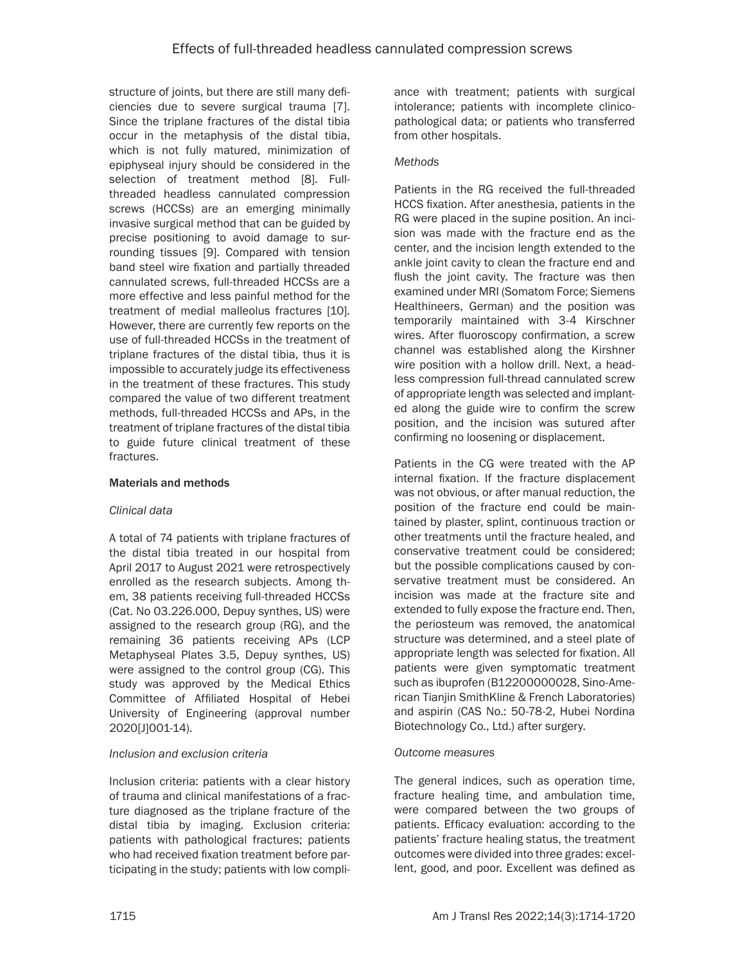structure of joints, but there are still many deficiencies due to severe surgical trauma [7]. Since the triplane fractures of the distal tibia occur in the metaphysis of the distal tibia, which is not fully matured, minimization of epiphyseal injury should be considered in the selection of treatment method [8]. Fullthreaded headless cannulated compression screws (HCCSs) are an emerging minimally invasive surgical method that can be guided by precise positioning to avoid damage to surrounding tissues [9]. Compared with tension band steel wire fixation and partially threaded cannulated screws, full-threaded HCCSs are a more effective and less painful method for the treatment of medial malleolus fractures [10]. However, there are currently few reports on the use of full-threaded HCCSs in the treatment of triplane fractures of the distal tibia, thus it is impossible to accurately judge its effectiveness in the treatment of these fractures. This study compared the value of two different treatment methods, full-threaded HCCSs and APs, in the treatment of triplane fractures of the distal tibia to guide future clinical treatment of these fractures.

### Materials and methods

## *Clinical data*

A total of 74 patients with triplane fractures of the distal tibia treated in our hospital from April 2017 to August 2021 were retrospectively enrolled as the research subjects. Among them, 38 patients receiving full-threaded HCCSs (Cat. No 03.226.000, Depuy synthes, US) were assigned to the research group (RG), and the remaining 36 patients receiving APs (LCP Metaphyseal Plates 3.5, Depuy synthes, US) were assigned to the control group (CG). This study was approved by the Medical Ethics Committee of Affiliated Hospital of Hebei University of Engineering (approval number 2020[J]001-14).

#### *Inclusion and exclusion criteria*

Inclusion criteria: patients with a clear history of trauma and clinical manifestations of a fracture diagnosed as the triplane fracture of the distal tibia by imaging. Exclusion criteria: patients with pathological fractures; patients who had received fixation treatment before participating in the study; patients with low compliance with treatment; patients with surgical intolerance; patients with incomplete clinicopathological data; or patients who transferred from other hospitals.

## *Methods*

Patients in the RG received the full-threaded HCCS fixation. After anesthesia, patients in the RG were placed in the supine position. An incision was made with the fracture end as the center, and the incision length extended to the ankle joint cavity to clean the fracture end and flush the joint cavity. The fracture was then examined under MRI (Somatom Force; Siemens Healthineers, German) and the position was temporarily maintained with 3-4 Kirschner wires. After fluoroscopy confirmation, a screw channel was established along the Kirshner wire position with a hollow drill. Next, a headless compression full-thread cannulated screw of appropriate length was selected and implanted along the guide wire to confirm the screw position, and the incision was sutured after confirming no loosening or displacement.

Patients in the CG were treated with the AP internal fixation. If the fracture displacement was not obvious, or after manual reduction, the position of the fracture end could be maintained by plaster, splint, continuous traction or other treatments until the fracture healed, and conservative treatment could be considered; but the possible complications caused by conservative treatment must be considered. An incision was made at the fracture site and extended to fully expose the fracture end. Then, the periosteum was removed, the anatomical structure was determined, and a steel plate of appropriate length was selected for fixation. All patients were given symptomatic treatment such as ibuprofen (B12200000028, Sino-American Tianjin SmithKline & French Laboratories) and aspirin (CAS No.: 50-78-2, Hubei Nordina Biotechnology Co., Ltd.) after surgery.

## *Outcome measures*

The general indices, such as operation time, fracture healing time, and ambulation time, were compared between the two groups of patients. Efficacy evaluation: according to the patients' fracture healing status, the treatment outcomes were divided into three grades: excellent, good, and poor. Excellent was defined as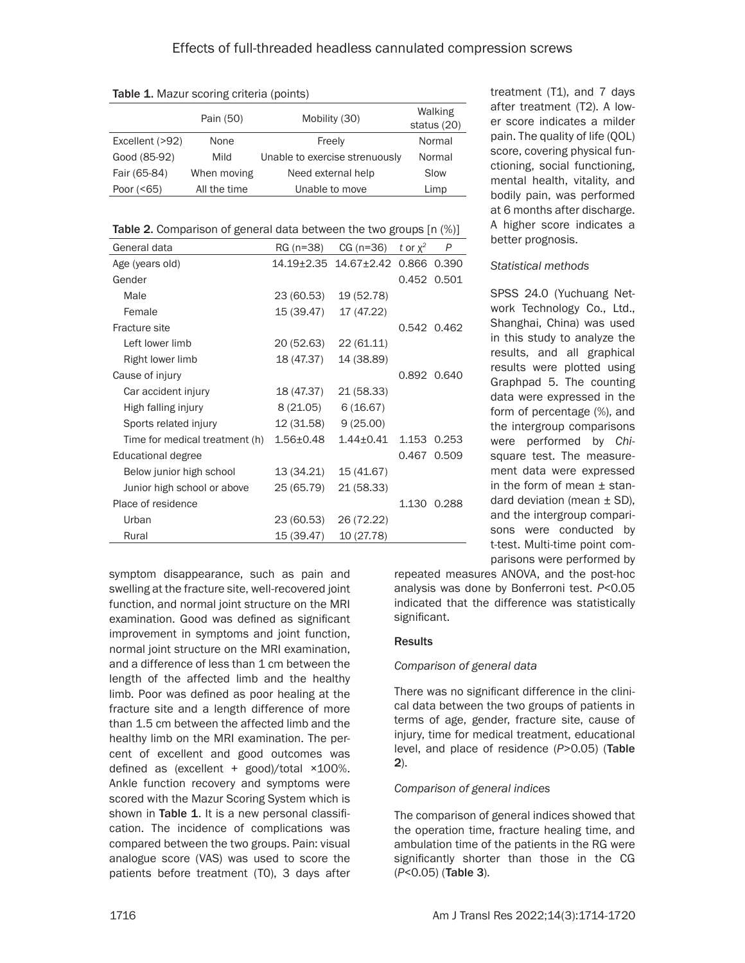|                 | Pain (50)    | Mobility (30)                  | Walking<br>status (20) |
|-----------------|--------------|--------------------------------|------------------------|
| Excellent (>92) | None         | Freely                         | Normal                 |
| Good (85-92)    | Mild         | Unable to exercise strenuously | Normal                 |
| Fair (65-84)    | When moving  | Need external help             | Slow                   |
| Poor $(< 65)$   | All the time | Unable to move                 | Limp                   |

Table 1. Mazur scoring criteria (points)

| General data                   | RG (n=38)     | $CG (n=36)$     | t or $x^2$ | P           |
|--------------------------------|---------------|-----------------|------------|-------------|
| Age (years old)                |               |                 |            | 0.866 0.390 |
| Gender                         |               |                 |            | 0.452 0.501 |
| Male                           | 23 (60.53)    | 19 (52.78)      |            |             |
| Female                         | 15 (39.47)    | 17 (47.22)      |            |             |
| Fracture site                  |               |                 |            | 0.542 0.462 |
| Left lower limb                | 20 (52.63)    | 22 (61.11)      |            |             |
| Right lower limb               | 18 (47.37)    | 14 (38.89)      |            |             |
| Cause of injury                |               |                 |            | 0.892 0.640 |
| Car accident injury            | 18 (47.37)    | 21 (58.33)      |            |             |
| High falling injury            | 8(21.05)      | 6(16.67)        |            |             |
| Sports related injury          | 12 (31.58)    | 9(25.00)        |            |             |
| Time for medical treatment (h) | $1.56 + 0.48$ | $1.44 \pm 0.41$ | 1.153      | 0.253       |
| Educational degree             |               |                 | 0.467      | 0.509       |
| Below junior high school       | 13 (34.21)    | 15 (41.67)      |            |             |
| Junior high school or above    | 25 (65.79)    | 21 (58.33)      |            |             |
| Place of residence             |               |                 |            | 1.130 0.288 |
| Urban                          | 23 (60.53)    | 26 (72.22)      |            |             |
| Rural                          | 15 (39.47)    | 10 (27.78)      |            |             |

symptom disappearance, such as pain and swelling at the fracture site, well-recovered joint function, and normal joint structure on the MRI examination. Good was defined as significant improvement in symptoms and joint function, normal joint structure on the MRI examination, and a difference of less than 1 cm between the length of the affected limb and the healthy limb. Poor was defined as poor healing at the fracture site and a length difference of more than 1.5 cm between the affected limb and the healthy limb on the MRI examination. The percent of excellent and good outcomes was defined as (excellent  $+$  good)/total  $×100%$ . Ankle function recovery and symptoms were scored with the Mazur Scoring System which is shown in Table 1. It is a new personal classification. The incidence of complications was compared between the two groups. Pain: visual analogue score (VAS) was used to score the patients before treatment (T0), 3 days after

treatment (T1), and 7 days after treatment (T2). A lower score indicates a milder pain. The quality of life (QOL) score, covering physical functioning, social functioning, mental health, vitality, and bodily pain, was performed at 6 months after discharge. A higher score indicates a better prognosis.

#### *Statistical methods*

SPSS 24.0 (Yuchuang Network Technology Co., Ltd., Shanghai, China) was used in this study to analyze the results, and all graphical results were plotted using Graphpad 5. The counting data were expressed in the form of percentage (%), and the intergroup comparisons were performed by *Chi*square test. The measurement data were expressed in the form of mean  $±$  standard deviation (mean  $\pm$  SD), and the intergroup comparisons were conducted by t-test. Multi-time point comparisons were performed by

repeated measures ANOVA, and the post-hoc analysis was done by Bonferroni test. *P*<0.05 indicated that the difference was statistically significant.

#### **Results**

### *Comparison of general data*

There was no significant difference in the clinical data between the two groups of patients in terms of age, gender, fracture site, cause of injury, time for medical treatment, educational level, and place of residence (*P*>0.05) (Table 2).

#### *Comparison of general indices*

The comparison of general indices showed that the operation time, fracture healing time, and ambulation time of the patients in the RG were significantly shorter than those in the CG (*P*<0.05) (Table 3).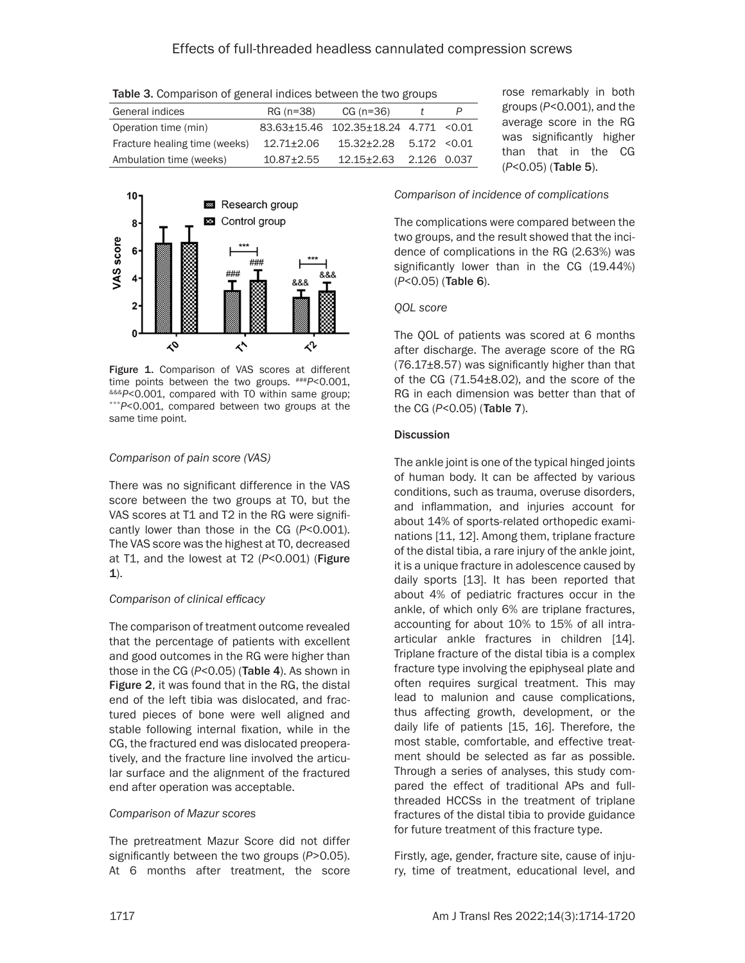Table 3. Comparison of general indices between the two groups

| General indices               | RG (n=38)      | $CG (n=36)$                           |              |  |
|-------------------------------|----------------|---------------------------------------|--------------|--|
| Operation time (min)          |                | 83.63±15.46 102.35±18.24 4.771 < 0.01 |              |  |
| Fracture healing time (weeks) | $12.71 + 2.06$ | $15.32 + 2.28$                        | 5.172 < 0.01 |  |
| Ambulation time (weeks)       | $10.87 + 2.55$ | 12.15+2.63 2.126 0.037                |              |  |



Figure 1. Comparison of VAS scores at different time points between the two groups.  $***P<0.001$ , time points between the two groups. ###*<sup>P</sup>*<0.001, &&&*<sup>P</sup>*<0.001, compared with T0 within same group; \*\*\**<sup>P</sup>*<0.001, compared between two groups at the same time point.

## *Comparison of pain score (VAS)*

There was no significant difference in the VAS score between the two groups at T0, but the VAS scores at T1 and T2 in the RG were significantly lower than those in the CG (*P*<0.001). The VAS score was the highest at T0, decreased at T1, and the lowest at T2 (*P*<0.001) (Figure  $1$ ).

#### *Comparison of clinical efficacy*

The comparison of treatment outcome revealed that the percentage of patients with excellent and good outcomes in the RG were higher than those in the CG (*P*<0.05) (Table 4). As shown in Figure 2, it was found that in the RG, the distal end of the left tibia was dislocated, and fractured pieces of bone were well aligned and stable following internal fixation, while in the CG, the fractured end was dislocated preoperatively, and the fracture line involved the articular surface and the alignment of the fractured end after operation was acceptable.

#### *Comparison of Mazur scores*

The pretreatment Mazur Score did not differ significantly between the two groups (*P*>0.05). At 6 months after treatment, the score

rose remarkably in both groups (*P*<0.001), and the average score in the RG was significantly higher than that in the CG (*P*<0.05) (Table 5).

## *Comparison of incidence of complications*

The complications were compared between the two groups, and the result showed that the incidence of complications in the RG (2.63%) was significantly lower than in the CG (19.44%) (*P*<0.05) (Table 6).

## *QOL score*

The QOL of patients was scored at 6 months after discharge. The average score of the RG (76.17±8.57) was significantly higher than that of the CG (71.54±8.02), and the score of the RG in each dimension was better than that of the CG (*P*<0.05) (Table 7).

## **Discussion**

The ankle joint is one of the typical hinged joints of human body. It can be affected by various conditions, such as trauma, overuse disorders, and inflammation, and injuries account for about 14% of sports-related orthopedic examinations [11, 12]. Among them, triplane fracture of the distal tibia, a rare injury of the ankle joint, it is a unique fracture in adolescence caused by daily sports [13]. It has been reported that about 4% of pediatric fractures occur in the ankle, of which only 6% are triplane fractures, accounting for about 10% to 15% of all intraarticular ankle fractures in children [14]. Triplane fracture of the distal tibia is a complex fracture type involving the epiphyseal plate and often requires surgical treatment. This may lead to malunion and cause complications, thus affecting growth, development, or the daily life of patients [15, 16]. Therefore, the most stable, comfortable, and effective treatment should be selected as far as possible. Through a series of analyses, this study compared the effect of traditional APs and fullthreaded HCCSs in the treatment of triplane fractures of the distal tibia to provide guidance for future treatment of this fracture type.

Firstly, age, gender, fracture site, cause of injury, time of treatment, educational level, and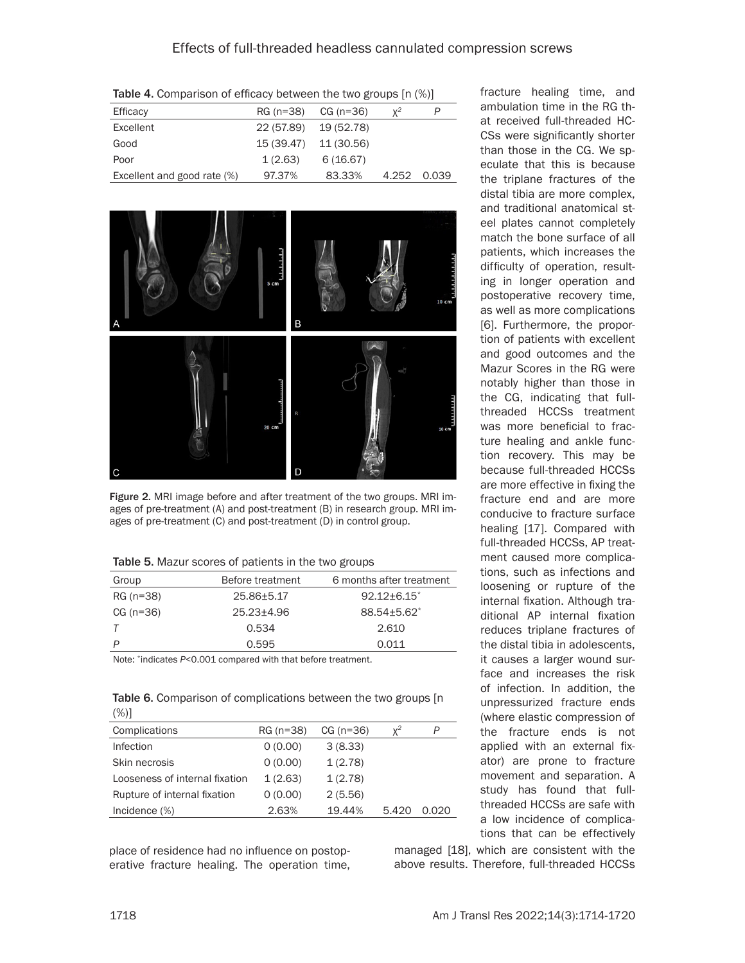Table 4. Comparison of efficacy between the two groups [n (%)]

| Efficacy                    | RG (n=38)  | CG (n=36)  | $Y^2$ |       |
|-----------------------------|------------|------------|-------|-------|
| Excellent                   | 22 (57.89) | 19 (52.78) |       |       |
| Good                        | 15 (39.47) | 11 (30.56) |       |       |
| Poor                        | 1(2.63)    | 6(16.67)   |       |       |
| Excellent and good rate (%) | 97.37%     | 83.33%     | 4.252 | 0.039 |



Figure 2. MRI image before and after treatment of the two groups. MRI images of pre-treatment (A) and post-treatment (B) in research group. MRI images of pre-treatment (C) and post-treatment (D) in control group.

| Table 5. Mazur scores of patients in the two groups |  |  |  |
|-----------------------------------------------------|--|--|--|
|-----------------------------------------------------|--|--|--|

| Group       | Before treatment | 6 months after treatment |
|-------------|------------------|--------------------------|
| RG (n=38)   | 25.86±5.17       | $92.12 + 6.15$           |
| $CG (n=36)$ | $25.23 + 4.96$   | 88.54+5.62*              |
|             | 0.534            | 2.610                    |
| D           | 0.595            | 0.011                    |

Note: \*indicates *P*<0.001 compared with that before treatment.

Table 6. Comparison of complications between the two groups [n] (%)]

| Complications                  | RG (n=38) | $CG (n=36)$ | $x^2$ | P     |
|--------------------------------|-----------|-------------|-------|-------|
| Infection                      | 0(0.00)   | 3(8.33)     |       |       |
| Skin necrosis                  | 0(0.00)   | 1(2.78)     |       |       |
| Looseness of internal fixation | 1(2.63)   | 1(2.78)     |       |       |
| Rupture of internal fixation   | 0(0.00)   | 2(5.56)     |       |       |
| Incidence (%)                  | 2.63%     | 19.44%      | 5.420 | 0.020 |

place of residence had no influence on postoperative fracture healing. The operation time, ambulation time in the RG that received full-threaded HC-CSs were significantly shorter than those in the CG. We speculate that this is because the triplane fractures of the distal tibia are more complex, and traditional anatomical steel plates cannot completely match the bone surface of all patients, which increases the difficulty of operation, resulting in longer operation and postoperative recovery time, as well as more complications [6]. Furthermore, the proportion of patients with excellent and good outcomes and the Mazur Scores in the RG were notably higher than those in the CG, indicating that fullthreaded HCCSs treatment was more beneficial to fracture healing and ankle function recovery. This may be because full-threaded HCCSs are more effective in fixing the fracture end and are more conducive to fracture surface healing [17]. Compared with full-threaded HCCSs, AP treatment caused more complications, such as infections and loosening or rupture of the internal fixation. Although traditional AP internal fixation reduces triplane fractures of the distal tibia in adolescents, it causes a larger wound surface and increases the risk of infection. In addition, the unpressurized fracture ends (where elastic compression of the fracture ends is not applied with an external fixator) are prone to fracture movement and separation. A study has found that fullthreaded HCCSs are safe with a low incidence of complica-

fracture healing time, and

tions that can be effectively

managed [18], which are consistent with the above results. Therefore, full-threaded HCCSs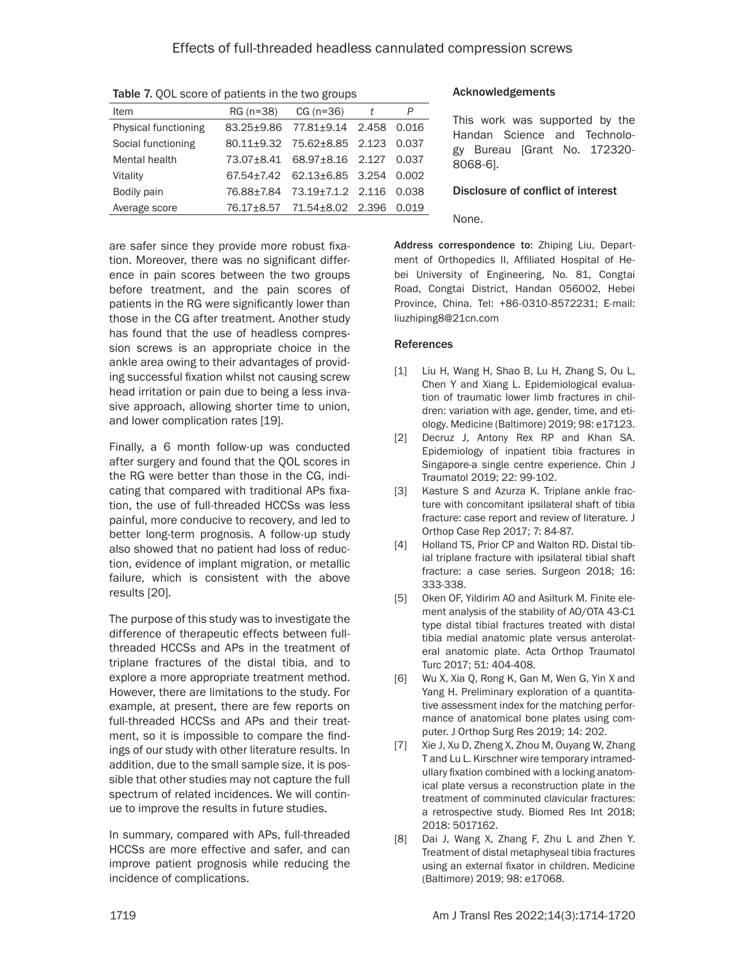| Item                 | RG $(n=38)$ CG $(n=36)$ t               | P     |
|----------------------|-----------------------------------------|-------|
| Physical functioning | 83.25±9.86 77.81±9.14 2.458             | 0.016 |
| Social functioning   | 80.11±9.32 75.62±8.85 2.123             | 0.037 |
| Mental health        | 73.07±8.41 68.97±8.16 2.127             | 0.037 |
| Vitality             | $67.54 \pm 7.42$ $62.13 \pm 6.85$ 3.254 | 0.002 |
| Bodily pain          | 76.88±7.84 73.19±7.1.2 2.116            | 0.038 |
| Average score        | 76.17±8.57 71.54±8.02 2.396             | 0.019 |
|                      |                                         |       |

Table 7, OOL score of patients in the two groups

are safer since they provide more robust fixation. Moreover, there was no significant difference in pain scores between the two groups before treatment, and the pain scores of patients in the RG were significantly lower than those in the CG after treatment. Another study has found that the use of headless compression screws is an appropriate choice in the ankle area owing to their advantages of providing successful fixation whilst not causing screw head irritation or pain due to being a less invasive approach, allowing shorter time to union, and lower complication rates [19].

Finally, a 6 month follow-up was conducted after surgery and found that the QOL scores in the RG were better than those in the CG, indicating that compared with traditional APs fixation, the use of full-threaded HCCSs was less painful, more conducive to recovery, and led to better long-term prognosis. A follow-up study also showed that no patient had loss of reduction, evidence of implant migration, or metallic failure, which is consistent with the above results [20].

The purpose of this study was to investigate the difference of therapeutic effects between fullthreaded HCCSs and APs in the treatment of triplane fractures of the distal tibia, and to explore a more appropriate treatment method. However, there are limitations to the study. For example, at present, there are few reports on full-threaded HCCSs and APs and their treatment, so it is impossible to compare the findings of our study with other literature results. In addition, due to the small sample size, it is possible that other studies may not capture the full spectrum of related incidences. We will continue to improve the results in future studies.

In summary, compared with APs, full-threaded HCCSs are more effective and safer, and can improve patient prognosis while reducing the incidence of complications.

## Acknowledgements

This work was supported by the Handan Science and Technology Bureau [Grant No. 172320- 8068-6].

#### Disclosure of conflict of interest

None.

Address correspondence to: Zhiping Liu, Department of Orthopedics II, Affiliated Hospital of Hebei University of Engineering, No. 81, Congtai Road, Congtai District, Handan 056002, Hebei Province, China. Tel: +86-0310-8572231; E-mail: [liuzhiping8@21cn.com](mailto:liuzhiping8@21cn.com)

## References

- [1] Liu H, Wang H, Shao B, Lu H, Zhang S, Ou L, Chen Y and Xiang L. Epidemiological evaluation of traumatic lower limb fractures in children: variation with age, gender, time, and etiology. Medicine (Baltimore) 2019; 98: e17123.
- [2] Decruz J, Antony Rex RP and Khan SA. Epidemiology of inpatient tibia fractures in Singapore-a single centre experience. Chin J Traumatol 2019; 22: 99-102.
- [3] Kasture S and Azurza K. Triplane ankle fracture with concomitant ipsilateral shaft of tibia fracture: case report and review of literature. J Orthop Case Rep 2017; 7: 84-87.
- [4] Holland TS, Prior CP and Walton RD. Distal tibial triplane fracture with ipsilateral tibial shaft fracture: a case series. Surgeon 2018; 16: 333-338.
- [5] Oken OF, Yildirim AO and Asilturk M. Finite element analysis of the stability of AO/OTA 43-C1 type distal tibial fractures treated with distal tibia medial anatomic plate versus anterolateral anatomic plate. Acta Orthop Traumatol Turc 2017; 51: 404-408.
- [6] Wu X, Xia Q, Rong K, Gan M, Wen G, Yin X and Yang H. Preliminary exploration of a quantitative assessment index for the matching performance of anatomical bone plates using computer. J Orthop Surg Res 2019; 14: 202.
- [7] Xie J, Xu D, Zheng X, Zhou M, Ouyang W, Zhang T and Lu L. Kirschner wire temporary intramedullary fixation combined with a locking anatomical plate versus a reconstruction plate in the treatment of comminuted clavicular fractures: a retrospective study. Biomed Res Int 2018; 2018: 5017162.
- [8] Dai J, Wang X, Zhang F, Zhu L and Zhen Y. Treatment of distal metaphyseal tibia fractures using an external fixator in children. Medicine (Baltimore) 2019; 98: e17068.